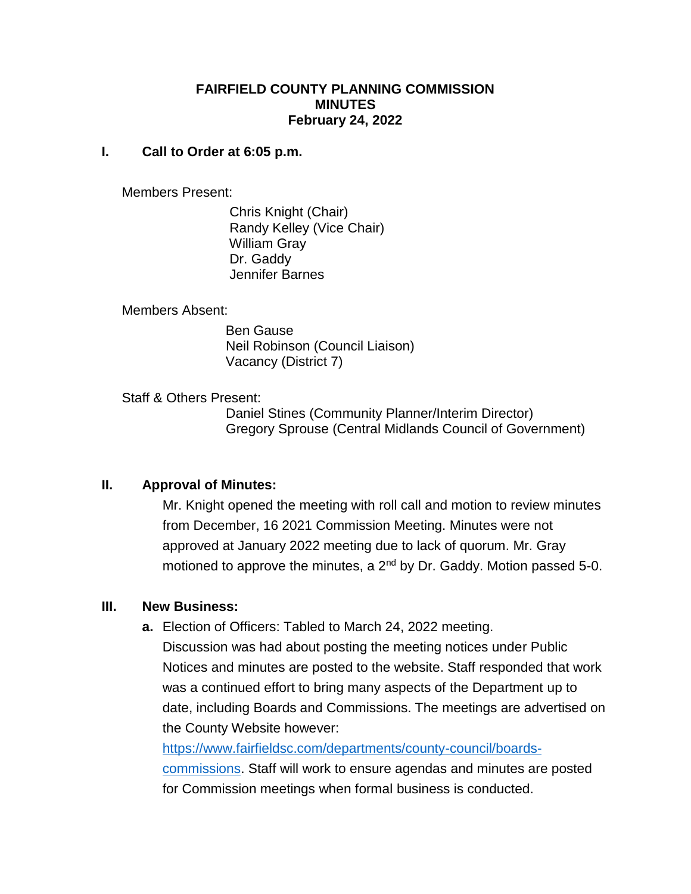## **FAIRFIELD COUNTY PLANNING COMMISSION MINUTES February 24, 2022**

#### **I. Call to Order at 6:05 p.m.**

Members Present:

 Chris Knight (Chair) Randy Kelley (Vice Chair) William Gray Dr. Gaddy Jennifer Barnes

Members Absent:

 Ben Gause Neil Robinson (Council Liaison) Vacancy (District 7)

Staff & Others Present:

 Daniel Stines (Community Planner/Interim Director) Gregory Sprouse (Central Midlands Council of Government)

## **II. Approval of Minutes:**

Mr. Knight opened the meeting with roll call and motion to review minutes from December, 16 2021 Commission Meeting. Minutes were not approved at January 2022 meeting due to lack of quorum. Mr. Gray motioned to approve the minutes, a  $2<sup>nd</sup>$  by Dr. Gaddy. Motion passed 5-0.

## **III. New Business:**

**a.** Election of Officers: Tabled to March 24, 2022 meeting.

Discussion was had about posting the meeting notices under Public Notices and minutes are posted to the website. Staff responded that work was a continued effort to bring many aspects of the Department up to date, including Boards and Commissions. The meetings are advertised on the County Website however:

[https://www.fairfieldsc.com/departments/county-council/boards](https://www.fairfieldsc.com/departments/county-council/boards-commissions)[commissions.](https://www.fairfieldsc.com/departments/county-council/boards-commissions) Staff will work to ensure agendas and minutes are posted for Commission meetings when formal business is conducted.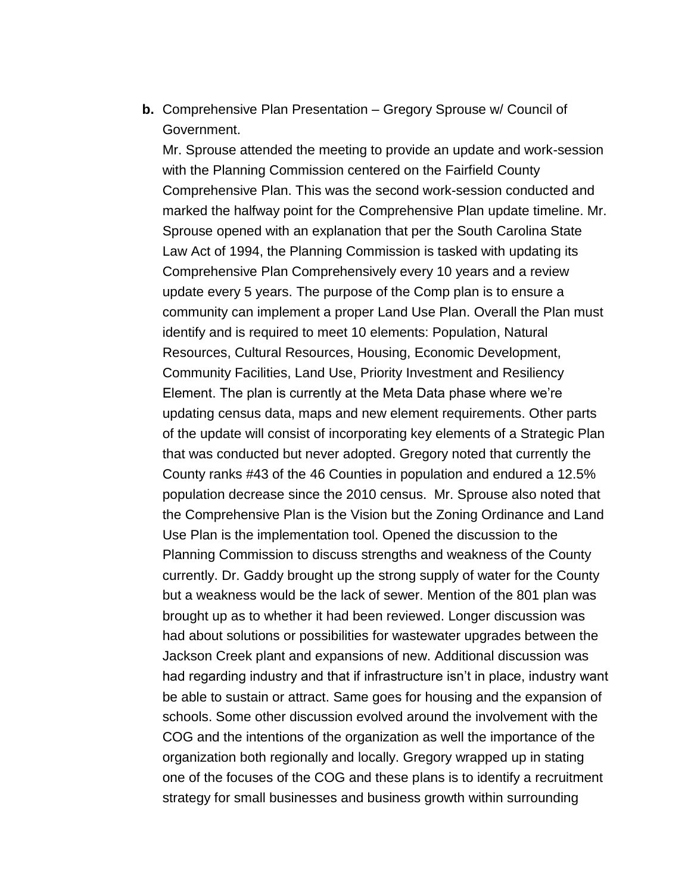**b.** Comprehensive Plan Presentation – Gregory Sprouse w/ Council of Government.

Mr. Sprouse attended the meeting to provide an update and work-session with the Planning Commission centered on the Fairfield County Comprehensive Plan. This was the second work-session conducted and marked the halfway point for the Comprehensive Plan update timeline. Mr. Sprouse opened with an explanation that per the South Carolina State Law Act of 1994, the Planning Commission is tasked with updating its Comprehensive Plan Comprehensively every 10 years and a review update every 5 years. The purpose of the Comp plan is to ensure a community can implement a proper Land Use Plan. Overall the Plan must identify and is required to meet 10 elements: Population, Natural Resources, Cultural Resources, Housing, Economic Development, Community Facilities, Land Use, Priority Investment and Resiliency Element. The plan is currently at the Meta Data phase where we're updating census data, maps and new element requirements. Other parts of the update will consist of incorporating key elements of a Strategic Plan that was conducted but never adopted. Gregory noted that currently the County ranks #43 of the 46 Counties in population and endured a 12.5% population decrease since the 2010 census. Mr. Sprouse also noted that the Comprehensive Plan is the Vision but the Zoning Ordinance and Land Use Plan is the implementation tool. Opened the discussion to the Planning Commission to discuss strengths and weakness of the County currently. Dr. Gaddy brought up the strong supply of water for the County but a weakness would be the lack of sewer. Mention of the 801 plan was brought up as to whether it had been reviewed. Longer discussion was had about solutions or possibilities for wastewater upgrades between the Jackson Creek plant and expansions of new. Additional discussion was had regarding industry and that if infrastructure isn't in place, industry want be able to sustain or attract. Same goes for housing and the expansion of schools. Some other discussion evolved around the involvement with the COG and the intentions of the organization as well the importance of the organization both regionally and locally. Gregory wrapped up in stating one of the focuses of the COG and these plans is to identify a recruitment strategy for small businesses and business growth within surrounding